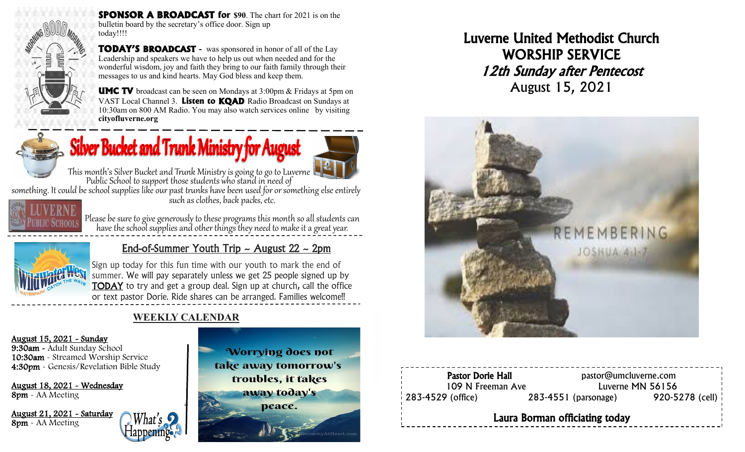

**SPONSOR A BROADCAST for \$90**. The chart for 2021 is on the bulletin board by the secretary's office door. Sign up today!!!!

**TODAY'S BROADCAST -** was sponsored in honor of all of the Lay Leadership and speakers we have to help us out when needed and for the wonderful wisdom, joy and faith they bring to our faith family through their messages to us and kind hearts. May God bless and keep them.



**UMC TV** broadcast can be seen on Mondays at 3:00pm & Fridays at 5pm on VAST Local Channel 3. **Listen to KQAD** Radio Broadcast on Sundays at 10:30am on 800 AM Radio. You may also watch services online by visiting **cityofluverne.org**



# $\mathbf{S}$  Silver Bucket and Trunk Ministry for August



This month's Silver Bucket and Trunk Ministry is going to go to Luverne Public School to support those students who stand in need of

something. It could be school supplies like our past trunks have been used for or something else entirely such as clothes, back packs, etc.



Please be sure to give generously to these programs this month so all students can have the school supplies and other things they need to make it a great year.



## End-of-Summer Youth Trip  $\sim$  August 22  $\sim$  2pm

Sign up today for this fun time with our youth to mark the end of summer. We will pay separately unless we get 25 people signed up by TODAY to try and get a group deal. Sign up at church, call the office or text pastor Dorie. Ride shares can be arranged. Families welcome!!

## **WEEKLY CALENDAR**

#### August 15, 2021 - Sunday

9:30am - Adult Sunday School 10:30am - Streamed Worship Service 4:30pm - Genesis/Revelation Bible Study

August 18, 2021 - Wednesday 8pm - AA Meeting

August 21, 2021 - Saturday 8pm - AA Meeting





# Luverne United Methodist Church WORSHIP SERVICE 12th Sunday after Pentecost August 15, 2021



| <b>Pastor Dorie Hall</b><br>109 N Freeman Ave |  | pastor@umcluverne.com<br>Luverne MN 56156 |                     |  |  |
|-----------------------------------------------|--|-------------------------------------------|---------------------|--|--|
| $\frac{1}{283}$ -4529 (office)                |  | $283 - 4551$ (parsonage)                  | $920 - 5278$ (cell) |  |  |
| Laura Borman officiating today                |  |                                           |                     |  |  |